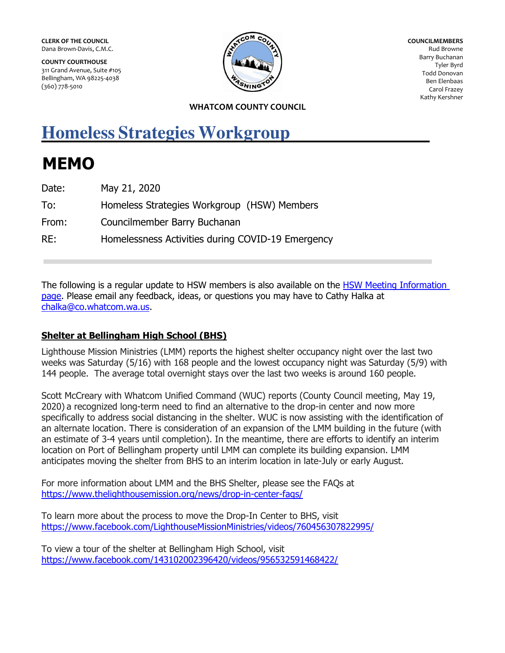**CLERK OF THE COUNCIL**  Dana Brown-Davis, C.M.C.

**COUNTY COURTHOUSE**  311 Grand Avenue, Suite #105 Bellingham, WA 98225-4038 (360) 778-5010



**COUNCILMEMBERS**  Rud Browne Barry Buchanan Tyler Byrd Todd Donovan Ben Elenbaas Carol Frazey Kathy Kershner

### **WHATCOM COUNTY COUNCIL**

# **Homeless Strategies Workgroup**

# **MEMO**

| Date: | May 21, 2020                                      |
|-------|---------------------------------------------------|
| To:   | Homeless Strategies Workgroup (HSW) Members       |
| From: | Councilmember Barry Buchanan                      |
| RE:   | Homelessness Activities during COVID-19 Emergency |

The following is a regular update to HSW members is also available on the [HSW Meeting Information](http://whatcomcounty.us/2748/Homeless-Strategies-Workgroup-Meeting-In)  [page.](http://whatcomcounty.us/2748/Homeless-Strategies-Workgroup-Meeting-In) Please email any feedback, ideas, or questions you may have to Cathy Halka at [chalka@co.whatcom.wa.us.](mailto:chalka@co.whatcom.wa.us)

# **Shelter at Bellingham High School (BHS)**

Lighthouse Mission Ministries (LMM) reports the highest shelter occupancy night over the last two weeks was Saturday (5/16) with 168 people and the lowest occupancy night was Saturday (5/9) with 144 people. The average total overnight stays over the last two weeks is around 160 people.

Scott McCreary with Whatcom Unified Command (WUC) reports (County Council meeting, May 19, 2020) a recognized long-term need to find an alternative to the drop-in center and now more specifically to address social distancing in the shelter. WUC is now assisting with the identification of an alternate location. There is consideration of an expansion of the LMM building in the future (with an estimate of 3-4 years until completion). In the meantime, there are efforts to identify an interim location on Port of Bellingham property until LMM can complete its building expansion. LMM anticipates moving the shelter from BHS to an interim location in late-July or early August.

For more information about LMM and the BHS Shelter, please see the FAQs at <https://www.thelighthousemission.org/news/drop-in-center-faqs/>

To learn more about the process to move the Drop-In Center to BHS, visit <https://www.facebook.com/LighthouseMissionMinistries/videos/760456307822995/>

To view a tour of the shelter at Bellingham High School, visit <https://www.facebook.com/143102002396420/videos/956532591468422/>